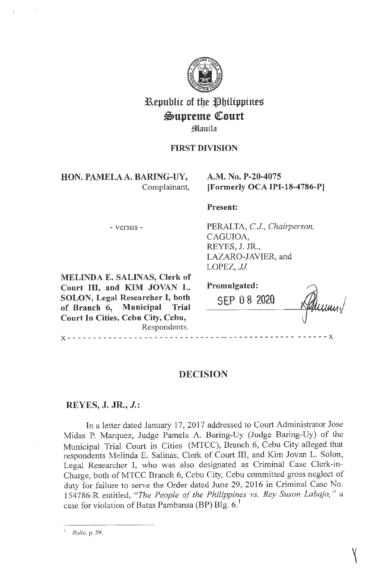

# Republic of the Philippines Supreme Court

Manila

## **FIRST DIVISION**

HON. PAMELA A. BARING-UY, Complainant,

## A.M. No. P-20-4075 [Formerly OCA IPI-18-4786-P]

### Present:

- versus -

PERALTA, C.J., Chairperson, CAGUIOA, REYES, J. JR., LAZARO-JAVIER, and LOPEZ, JJ.

MELINDA E. SALINAS, Clerk of Court III, and KIM JOVAN L. SOLON, Legal Researcher I, both of Branch 6, Municipal Trial Court In Cities, Cebu City, Cebu, Respondents.

Promulgated:

 $\frac{1}{2} \frac{1}{2} \frac{1}{2} \frac{1}{2} \frac{1}{2} \frac{1}{2} \frac{1}{2} \frac{1}{2} \frac{1}{2} \frac{1}{2} \frac{1}{2}$ 

SEP 08 2020

# **DECISION**

# REYES, J. JR.,  $J$ .:

 $X - - - - - - - - -$ 

In a letter dated January 17, 2017 addressed to Court Administrator Jose Midas P. Marquez, Judge Pamela A. Baring-Uy (Judge Baring-Uy) of the Municipal Trial Court in Cities (MTCC), Branch 6, Cebu City alleged that respondents Melinda E. Salinas, Clerk of Court III, and Kim Jovan L. Solon, Legal Researcher I, who was also designated as Criminal Case Clerk-in-Charge, both of MTCC Branch 6, Cebu City, Cebu committed gross neglect of duty for failure to serve the Order dated June 29, 2016 in Criminal Case No. 154786-R entitled, "The People of the Philippines vs. Rey Suson Labajo," a case for violation of Batas Pambansa (BP) Blg. 6.<sup>1</sup>

Rollo, p. 59.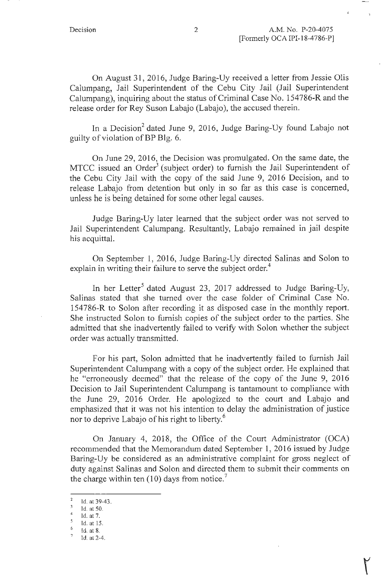On August 31, 2016, Judge Baring-Uy received a letter from Jessie Olis Calumpang, Jail Superintendent of the Cebu City Jail (Jail Superintendent Calumpang), inquiring about the status of Criminal Case No. 154786-R and the release order for Rey Suson Labajo (Labajo), the accused therein.

In a Decision<sup>2</sup> dated June 9, 2016, Judge Baring-Uy found Labajo not guilty of violation of BP Blg. 6.

On June 29, 2016, the Decision was promulgated. On the same date, the MTCC issued an Order<sup>3</sup> (subject order) to furnish the Jail Superintendent of the Cebu City Jail with the copy of the said June 9, 2016 Decision, and to release Labajo from detention but only in so far as this case is concerned, unless he is being detained for some other legal causes.

Judge Baring-Uy later learned that the subject order was not served to Jail Superintendent Calumpang. Resultantly, Labajo remained in jail despite his acquittal.

On September 1, 2016, Judge Baring-Uy directed Salinas and Solon to explain in writing their failure to serve the subject order.<sup>4</sup>

In her Letter<sup>5</sup> dated August 23, 2017 addressed to Judge Baring-Uy, Salinas stated that she turned over the case folder of Criminal Case No. 154786-R to Solon after recording it as disposed case in the monthly report. She instructed Solon to furnish copies of the subject order to the parties. She admitted that she inadvertently failed to verify with Solon whether the subject order was actually transmitted.

For his part, Solon admitted that he inadvertently failed to furnish Jail Superintendent Calumpang with a copy of the subject order. He explained that he "erroneously deemed" that the release of the copy of the June 9, 2016 Decision to Jail Superintendent Calumpang is tantamount to compliance with the June 29, 2016 Order. He apologized to the court and Labajo and emphasized that it was not his intention to delay the administration of justice nor to deprive Labajo of his right to liberty.<sup>6</sup>

On January 4, 2018, the Office of the Court Administrator (OCA) recommended that the Memorandum dated September 1, 2016 issued by Judge Baring-Uy be considered as an administrative complaint for gross neglect of duty against Salinas and Solon and directed them to submit their comments on the charge within ten  $(10)$  days from notice.<sup>7</sup>

 $^{2}$  Id. at 39-43.

 $\frac{3}{4}$  Id. at 50.<br>5 Id. at 7.

Id. at 15.

 $\frac{6}{7}$  Id. at 8.<br> $\frac{7}{1}$ Id. at 2-4.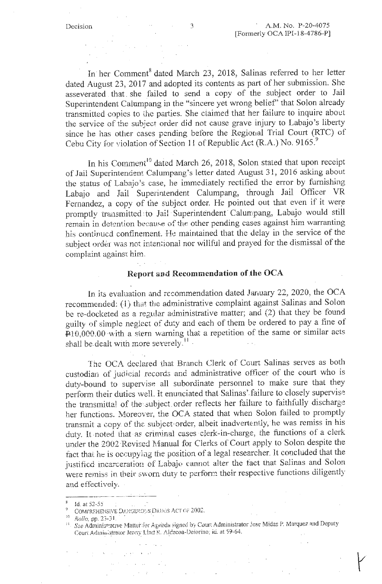In her Comment<sup>8</sup> dated March 23, 2018, Salinas referred to her letter dated August 23, 2017 and adopted its contents as part of her submission. She asseverated . that . she failed to send a copy of the subject order to Jail Superintendent Calumpang in the "sincere yet wrong belief' that Solon already transmitted copies to the parties. She claimed that her failure to inquire about the service of the subject order did not cause grave injury to Labajo's liberty since he has other cases pending before the Regional Trial Court (RTC) of Cebu City for violation of Section 11 of Republic Act (R.A.) No. 9165.<sup>9</sup>

In his Comment<sup>10</sup> dated March 26, 2018, Solon stated that upon receipt of Jail Superintendent Calumpang's letter dated August 31, 2016 asking about the status of Labajo 's case, he immediately rectified the error by furnishing Labajo and Jail Superintendent Calumpang, through Jail Officer VR Fernandez, a copy of the subject order. He pointed out that even if it were promptly transmitted to Jail Superintendent Calumpang, Labajo would still remain in detention because of the other pending cases against him warranting his continued confinement. He maintained that the delay in the service of the subject order was not intentional nor wiliful and prayed for the dismissal of the complaint against him.

### **Report and Recommendation of the OCA**

In its evaluation and recommendation dated January 22, 2020, the OCA recommended: (1) that tbe administrative complaint against Salinas and Solon be re-docketed as a regular administrative matter; and (2) that they be found guilty of simple neglect of duty and each of them be ordered to pay a fine of  $P10,000.00$  with a stern warning that a repetition of the same or similar acts shall be dealt with more severely.<sup>11</sup>

The OCA declared that Branch Clerk of Court Salinas serves as both custodian of judicia1 records and administrative officer of the court who is duty-bound to supervise all subordinate personnel to make sure that they perform their duties well. It enunciated that Salinas' failure to closely supervise the transmittal of the subject order reflects her failure to faithfully discharge her functions. Moreover, the OCA stated that when Solon failed to promptly transmit a copy of the subject order, albeit inadvertently, he was remiss in his duty. It noted that as criminal cases clerk-in-charge, the functions of a clerk under the 2002 Revised Manual for Clerks of Court apply to Solon despite the fact that he is occupying the position of a legal researcher. It concluded that the justified incarceration of Labajo cannot alter the fact that Salinas and Solon were remiss in their sworn duty to perform their respective functions diligently and effectively.<br> $\frac{1}{\sinh 2}$  id. at 52-55

 $\sim 10$ 

 $\sim 10^7$ 

 $\mathcal{A}=\mathcal{A}$  , and  $\mathcal{A}=\mathcal{A}$  ,  $\mathcal{A}$ 

 $\alpha = 2$ 

 $\mathbf{S}^{(1)} = \mathbf{S}^{(1)} = \mathbf{S}^{(1)} + \mathbf{S}^{(2)} + \mathbf{S}^{(3)} + \mathbf{S}^{(4)}$ 

COMFREHENSIVE DANGEROLS DRUGS ACT OF 2002.

<sup>&</sup>lt;sup>10</sup> *Rollo, pp. 23-31.*<br><sup>11</sup> *Sse*-Administrative Matter for Agenda signed by Court Administrator Jose Midas P. Marquez and Deputy Court Administrator Jermy Lind R. Aldecoa-Deiorino; id. at 59-64.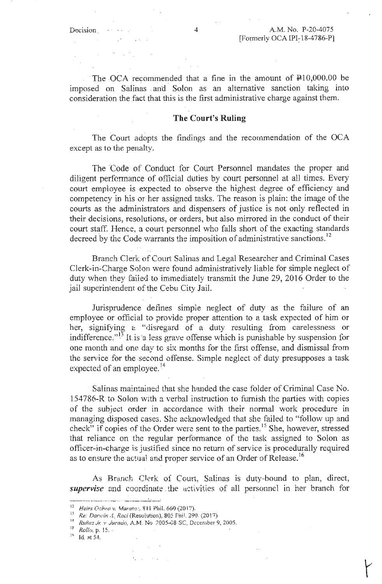$\sim 10^{-1}$ 

 $\mathcal{A}^{\mathcal{A}}$ 

The OCA recommended that a fine in the amount of  $\text{\texttt{P}}10,000.00$  be imposed on Salinas . and Solon as an alternative sanction taking into consideration the fact that this is the first administrative charge against them.

#### **The Court's Ruling**

The Court adopts the findings and the recommendation of the OCA except as to the penalty.

The Code of Conduct for Court Personnel mandates the proper and diligent perfonnance of official duties by court personnel at all times. Every court employee is expected to observe the highest degree of efficiency and competency in his or her assigned tasks. The reason is plain: the image of the courts as the administrators and dispensers of justice is not only reflected in their decisions, resolutions, or orders, but also mirrored in the conduct of their court staff. Hence, a court personnel who falls short of the exacting standards decreed by the Code warrants the imposition of administrative sanctions.<sup>12</sup>

Branch Clerk of Court Salinas and Legal Researcher and Criminal Cases Clerk-in-Charge Solon were found administratively liable for simple neglect of duty when they failed to immediately transmit the June 29, 2016 Order to the jail superintendent of the Cebu City Jail.

Jurisprudence defines simple neglect of duty as the failure of an employee or official to- provide proper attention to a task expected of him or her, signifying a "disregard of a duty resulting from carelessness or indifference."<sup>13</sup> It is a less grave offense which is punishable by suspension for one month and one day to six months for the first offense, and dismissal from the service for the .second offense. Simple neglect of duty presupposes a task expected of an employee. $^{14}$ 

Salinas maintained that she handed the case folder of Criminal Case No. 154786-R to Solon with a verbal instruction to furnish the parties with copies of the subject order in accordance with their normal work procedure in managing disposed cases. She acknowledged that she failed to "follow up and check" if copies of the Order were sent to the parties.<sup>15</sup> She, however, stressed that reliance on the regular performance of the task assigned to Solon as officer-in-charge is justified since no return of service is procedurally required as to ensure the actual and proper service of an Order of Release.<sup>16</sup>

As Branch Clerk of Court, Salinas is duty-bound to plan, direct, supervise and coordinate the activities of all personnel in her branch for

- <sup>15</sup> *Rollo*, p. 15. ·
- **!h Id. at 54.**

<sup>&</sup>lt;sup>12</sup> Heirs Ochea v. Maratas, 811 Phil. 660 (2017).<br><sup>13</sup> Re: Darwin A. Reci (Resolution), 805 Phil. 290. (2017).

<sup>&</sup>lt;sup>14</sup> *Rufiez Jr. v Jurado, A.M. No 2005-08-SC, December 9, 2005.*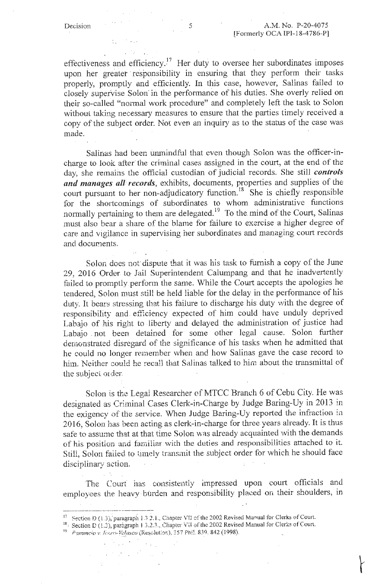effectiveness and efficiency.<sup>17</sup> Her duty to oversee her subordinates imposes upon her greater responsibility in ensuring that they perform their tasks properly, promptly and efficiently. In this case, however, Salinas failed to closely supervise Solon· in the performance of his duties. She overly relied on their so-called "normal work procedure" and completely left the task to Solon without taking necessary measures to ensure that the parties timely received a copy of the subject order. Not even an inquiry as to the status of the case was made.

Salinas had been unmindful that even though Solon was the officer-incharge to look after the criminal cases assigned in the court, at the end of the day, she remains the official custodian of judicial records. She still *controls*  and manages all records, exhibits, documents, properties and supplies of the court pursuant to her non-adjudicatory function.<sup>18</sup> She is chiefly responsible for the shortcomings of subordinates to whom administrative functions normally pertaining to them are delegated.<sup>19</sup> To the mind of the Court, Salinas must also bear a share of the blame for failure to exercise a higher degree of care and vigilance in supervising her subordinates and managing court records and documents.

Solon does not' dispute that it was his task to furnish a copy of the June 29, 2016 Order to Jail Superintendent Caiumpang and that he inadvertently failed to promptly perform the same. While the Court accepts the apologies he tendered. Solon must still be held liable for the delay in the performance of his duty. It bears stressing that his failure to discharge his duty with the degree of responsibility and efficiency expected of him could have unduly deprived Labajo of his right to liberty and delayed the administration of justice had Labajo . not been detained for some other legal cause. Solon further demonstrated disregard of the significance of his tasks when he admitted that he could no longer remember when and how Salinas gave the case record to him. Neither could he recall that Salinas talked to him about the transmittal of the subject order.

Solon is the Legal Researcher of MTCC Branch 6 of Cebu City. He was designated as Criminal Cases Clerk-in-Charge by .Judge Baring-Uy in 2013 in the exigency of the service. When Judge Baring-Uy reported the infraction in 2016, Solon has been acting as clerk-in-charge for three years already. It is thus safe to assume that at that time Solon was already acquainted with the demands of his position and farni!iar with the duties and responsibilities attached to it. Still, Solon faiied to timely transmit the subject order for which he should face disciplinary action.

The Courf has consistently impressed upon court officials and employees the heavy burden and responsibility placed on their shoulders, in

 $\bar{z}$ 

<sup>19</sup> *Panuncio v. Jearo-Velasco* (Reșelution), 357 Phil. 839, 842 (1998).

 $\mathcal{P}^{\text{c}}(\mathcal{L})\neq 0$ 

 $^{17}$  Section D (1.3), paragraph 1.3 2.1., Chapter VII of the 2002 Revised Manual for Clerks of Court.

 $18$ . Section D (1.3), paragraph 1.3.2.3., Chapter VII of the 2002 Revised Manual for Clerks of Court.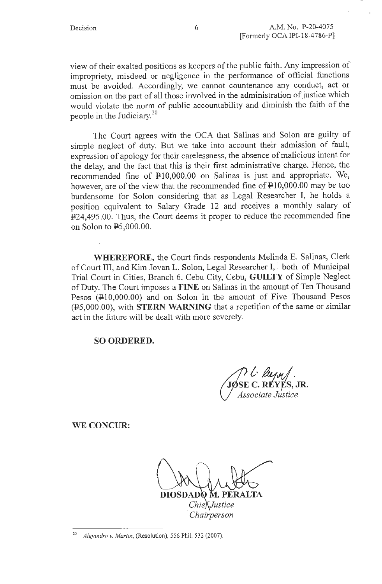view of their exalted positions as keepers of the public faith. Any impression of impropriety, misdeed or negligence in the performance of official functions must be avoided. Accordingly, we cannot countenance any conduct, act or omission on the part of all those involved in the administration of justice which would violate the norm of public accountability and diminish the faith of the people in the Judiciary.<sup>20</sup>

The Court agrees with the OCA that Salinas and Solon are guilty of simple neglect of duty. But we take into account their admission of fault, expression of apology for their carelessness, the absence of malicious intent for the delay, and the fact that this is their first administrative charge. Hence, the recommended fine of  $\text{\#10,000.00}$  on Salinas is just and appropriate. We, however, are of the view that the recommended fine of  $\text{P10,000.00}$  may be too burdensome for Solon considering that as Legal Researcher I, he holds a position equivalent to Salary Grade 12 and receives a monthly salary of 1!24,495 .00. Thus, the Court deems it proper to reduce the recommended fine on Solon to PS,000.00.

**WHEREFORE,** the Court finds respondents Melinda E. Salinas, Clerk of Court III, and Kim Jovan L. Solon, Legal Researcher I, *:* both of Municipal Trial Court in Cities, Branch 6, Cebu City, Cebu, **GUILTY** of Simple Neglect of Duty. The Court imposes a **FINE** on Salinas in the amount of Ten Thousand Pesos ( $\text{\textsterling}10,000.00$ ) and on Solon in the amount of Five Thousand Pesos (PS,000.00), with **STERN WARNING** that a repetition of the same or similar act in the future will be dealt with more severely.

**SO ORDERED.** 

JOSE C. REYES, JR. *v;:sociate Justice* 

**WE CONCUR:** 

DIOSDA ChiefJustice *Chairperson* 

<sup>20</sup>*Alejandro v. Martin,* (Resolution), 556 Phil. 532 (2007).